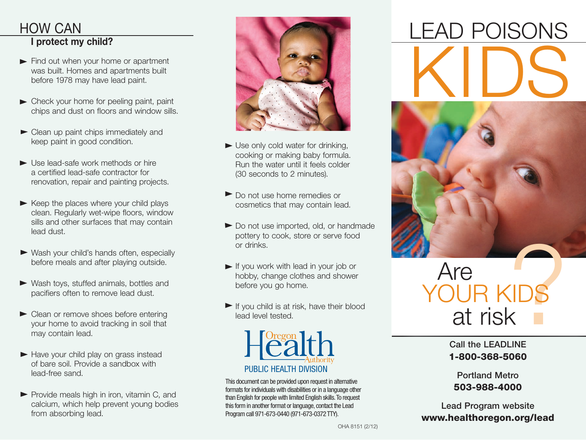#### HOW CAN I protect my child?

- Find out when your home or apartment was built. Homes and apartments built before 1978 may have lead paint.
- ▶ Check your home for peeling paint, paint chips and dust on floors and window sills.
- $\blacktriangleright$  Clean up paint chips immediately and keep paint in good condition.
- Use lead-safe work methods or hire a certified lead-safe contractor for renovation, repair and painting projects.
- $\blacktriangleright$  Keep the places where your child plays clean. Regularly wet-wipe floors, window sills and other surfaces that may contain lead dust.
- Wash your child's hands often, especially before meals and after playing outside.
- Wash toys, stuffed animals, bottles and pacifiers often to remove lead dust.
- Clean or remove shoes before entering your home to avoid tracking in soil that may contain lead.
- $\blacktriangleright$  Have your child play on grass instead of bare soil. Provide a sandbox with lead-free sand.
- $\blacktriangleright$  Provide meals high in iron, vitamin C, and calcium, which help prevent young bodies from absorbing lead.



- Use only cold water for drinking, cooking or making baby formula. Run the water until it feels colder (30 seconds to 2 minutes).
- Do not use home remedies or cosmetics that may contain lead.
- Do not use imported, old, or handmade pottery to cook, store or serve food or drinks.
- If you work with lead in your job or hobby, change clothes and shower before you go home.
- $\blacktriangleright$  If you child is at risk, have their blood lead level tested.



This document can be provided upon request in alternative formats for individuals with disabilities or in a language other than English for people with limited English skills. To request this form in another format or language, contact the Lead Program call 971-673-0440 (971-673-0372 TTY).

# KIDS LEAD POISONS



## TOS Are YOUR KI<br>at risk

Call the LEADLINE 1-800-368-5060

Portland Metro 503-988-4000

Lead Program website www.healthoregon.org/lead